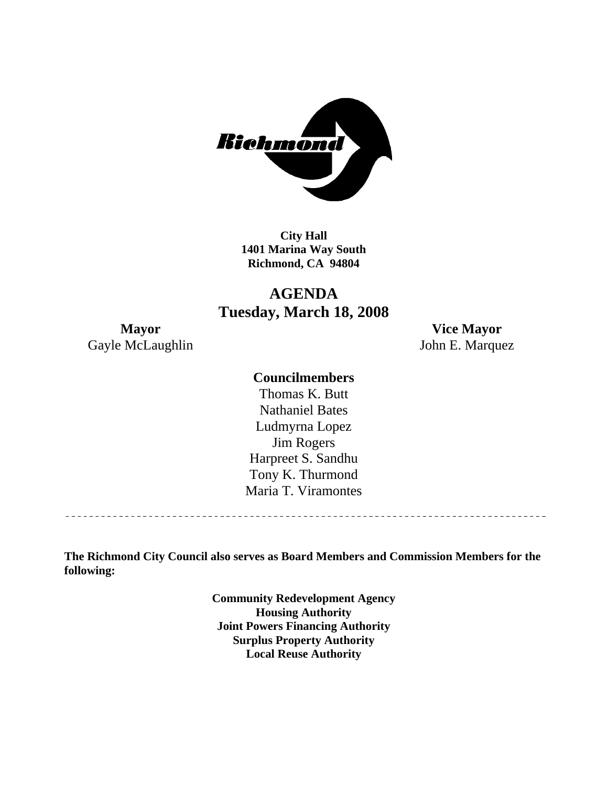

**City Hall 1401 Marina Way South Richmond, CA 94804** 

# **AGENDA Tuesday, March 18, 2008**

Gayle McLaughlin John E. Marquez

**Mayor Vice Mayor** 

## **Councilmembers**

Harpreet S. Sandhu Tony K. Thurmond Maria T. Viramontes Thomas K. Butt Nathaniel Bates Ludmyrna Lopez Jim Rogers

**The Richmond City Council also serves as Board Members and Commission Members for the following:** 

> **Community Redevelopment Agency Housing Authority Joint Powers Financing Authority Surplus Property Authority Local Reuse Authority**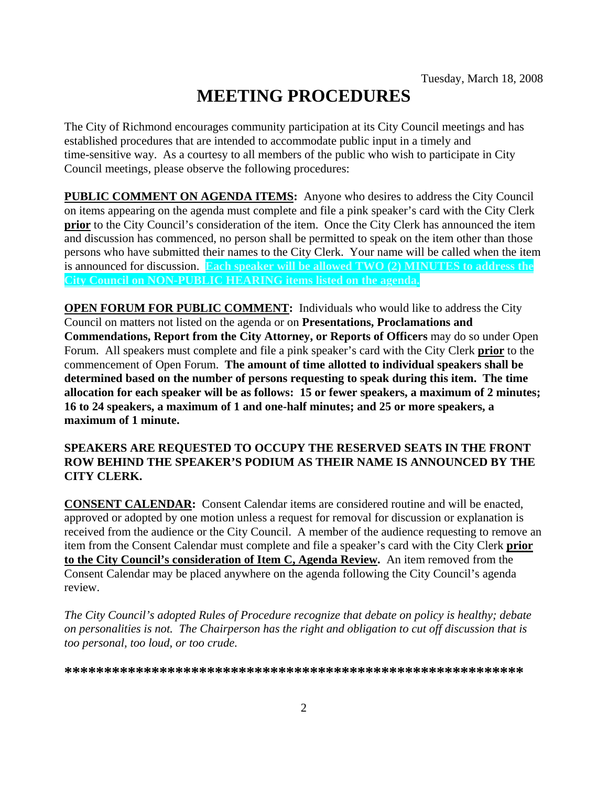# **MEETING PROCEDURES**

The City of Richmond encourages community participation at its City Council meetings and has established procedures that are intended to accommodate public input in a timely and time-sensitive way. As a courtesy to all members of the public who wish to participate in City Council meetings, please observe the following procedures:

**PUBLIC COMMENT ON AGENDA ITEMS:** Anyone who desires to address the City Council on items appearing on the agenda must complete and file a pink speaker's card with the City Clerk **prior** to the City Council's consideration of the item. Once the City Clerk has announced the item and discussion has commenced, no person shall be permitted to speak on the item other than those persons who have submitted their names to the City Clerk. Your name will be called when the item is announced for discussion. **Each speaker will be allowed TWO (2) MINUTES to address the City Council on NON-PUBLIC HEARING items listed on the agenda.** 

**OPEN FORUM FOR PUBLIC COMMENT:** Individuals who would like to address the City Council on matters not listed on the agenda or on **Presentations, Proclamations and Commendations, Report from the City Attorney, or Reports of Officers** may do so under Open Forum. All speakers must complete and file a pink speaker's card with the City Clerk **prior** to the commencement of Open Forum. **The amount of time allotted to individual speakers shall be determined based on the number of persons requesting to speak during this item. The time allocation for each speaker will be as follows: 15 or fewer speakers, a maximum of 2 minutes; 16 to 24 speakers, a maximum of 1 and one-half minutes; and 25 or more speakers, a maximum of 1 minute.** 

#### **SPEAKERS ARE REQUESTED TO OCCUPY THE RESERVED SEATS IN THE FRONT ROW BEHIND THE SPEAKER'S PODIUM AS THEIR NAME IS ANNOUNCED BY THE CITY CLERK.**

**CONSENT CALENDAR:** Consent Calendar items are considered routine and will be enacted, approved or adopted by one motion unless a request for removal for discussion or explanation is received from the audience or the City Council. A member of the audience requesting to remove an item from the Consent Calendar must complete and file a speaker's card with the City Clerk **prior to the City Council's consideration of Item C, Agenda Review.** An item removed from the Consent Calendar may be placed anywhere on the agenda following the City Council's agenda review.

*The City Council's adopted Rules of Procedure recognize that debate on policy is healthy; debate on personalities is not. The Chairperson has the right and obligation to cut off discussion that is too personal, too loud, or too crude.* 

**\*\*\*\*\*\*\*\*\*\*\*\*\*\*\*\*\*\*\*\*\*\*\*\*\*\*\*\*\*\*\*\*\*\*\*\*\*\*\*\*\*\*\*\*\*\*\*\*\*\*\*\*\*\*\*\*\*\***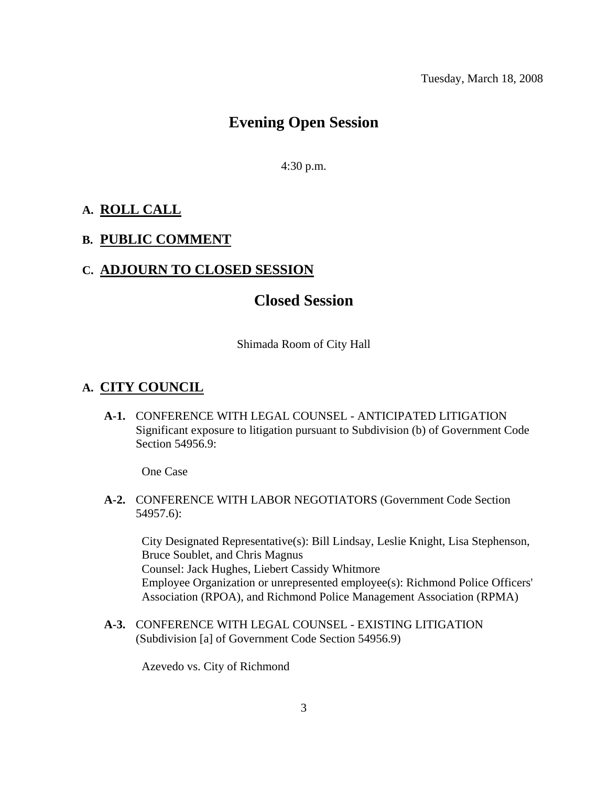# **Evening Open Session**

4:30 p.m.

#### **A. ROLL CALL**

# **B. PUBLIC COMMENT**

## **C. ADJOURN TO CLOSED SESSION**

# **Closed Session**

Shimada Room of City Hall

#### **A. CITY COUNCIL**

 **A-1.** CONFERENCE WITH LEGAL COUNSEL - ANTICIPATED LITIGATION Significant exposure to litigation pursuant to Subdivision (b) of Government Code Section 54956.9:

One Case

 **A-2.** CONFERENCE WITH LABOR NEGOTIATORS (Government Code Section 54957.6):

City Designated Representative(s): Bill Lindsay, Leslie Knight, Lisa Stephenson, Bruce Soublet, and Chris Magnus Counsel: Jack Hughes, Liebert Cassidy Whitmore Employee Organization or unrepresented employee(s): Richmond Police Officers' Association (RPOA), and Richmond Police Management Association (RPMA)

 **A-3.** CONFERENCE WITH LEGAL COUNSEL - EXISTING LITIGATION (Subdivision [a] of Government Code Section 54956.9)

Azevedo vs. City of Richmond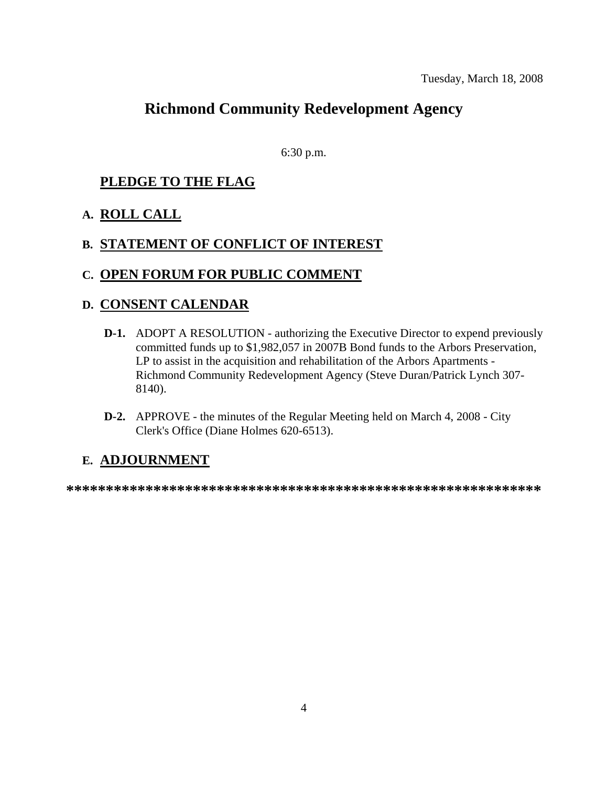# **Richmond Community Redevelopment Agency**

6:30 p.m.

# **PLEDGE TO THE FLAG**

# **A. ROLL CALL**

# **B. STATEMENT OF CONFLICT OF INTEREST**

## **C. OPEN FORUM FOR PUBLIC COMMENT**

## **D. CONSENT CALENDAR**

- **D-1.** ADOPT A RESOLUTION authorizing the Executive Director to expend previously committed funds up to \$1,982,057 in 2007B Bond funds to the Arbors Preservation, LP to assist in the acquisition and rehabilitation of the Arbors Apartments - Richmond Community Redevelopment Agency (Steve Duran/Patrick Lynch 307- 8140).
- **D-2.** APPROVE the minutes of the Regular Meeting held on March 4, 2008 City Clerk's Office (Diane Holmes 620-6513).

# **E. ADJOURNMENT**

**\*\*\*\*\*\*\*\*\*\*\*\*\*\*\*\*\*\*\*\*\*\*\*\*\*\*\*\*\*\*\*\*\*\*\*\*\*\*\*\*\*\*\*\*\*\*\*\*\*\*\*\*\*\*\*\*\*\*\*\***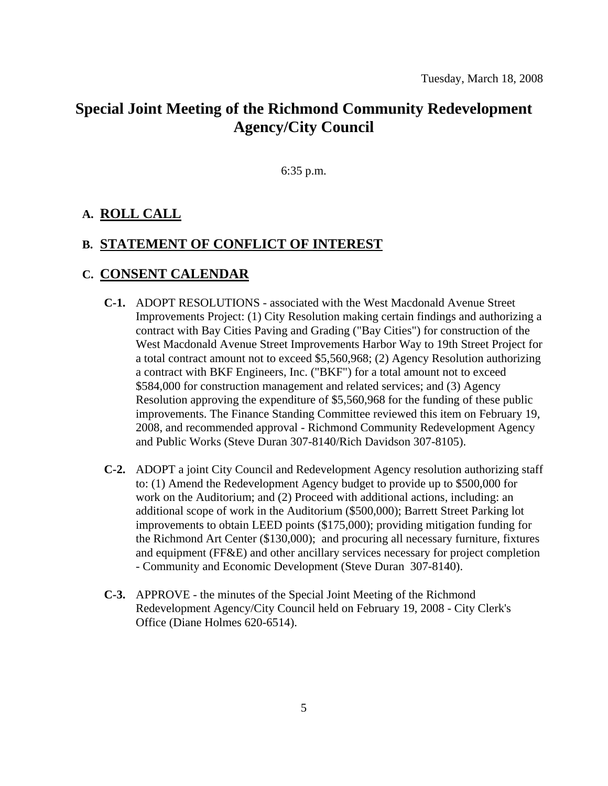# **Special Joint Meeting of the Richmond Community Redevelopment Agency/City Council**

6:35 p.m.

#### **A. ROLL CALL**

#### **B. STATEMENT OF CONFLICT OF INTEREST**

#### **C. CONSENT CALENDAR**

- **C-1.** ADOPT RESOLUTIONS associated with the West Macdonald Avenue Street Improvements Project: (1) City Resolution making certain findings and authorizing a contract with Bay Cities Paving and Grading ("Bay Cities") for construction of the West Macdonald Avenue Street Improvements Harbor Way to 19th Street Project for a total contract amount not to exceed \$5,560,968; (2) Agency Resolution authorizing a contract with BKF Engineers, Inc. ("BKF") for a total amount not to exceed \$584,000 for construction management and related services; and (3) Agency Resolution approving the expenditure of \$5,560,968 for the funding of these public improvements. The Finance Standing Committee reviewed this item on February 19, 2008, and recommended approval - Richmond Community Redevelopment Agency and Public Works (Steve Duran 307-8140/Rich Davidson 307-8105).
- **C-2.** ADOPT a joint City Council and Redevelopment Agency resolution authorizing staff to: (1) Amend the Redevelopment Agency budget to provide up to \$500,000 for work on the Auditorium; and (2) Proceed with additional actions, including: an additional scope of work in the Auditorium (\$500,000); Barrett Street Parking lot improvements to obtain LEED points (\$175,000); providing mitigation funding for the Richmond Art Center (\$130,000); and procuring all necessary furniture, fixtures and equipment (FF&E) and other ancillary services necessary for project completion - Community and Economic Development (Steve Duran 307-8140).
- **C-3.** APPROVE the minutes of the Special Joint Meeting of the Richmond Redevelopment Agency/City Council held on February 19, 2008 - City Clerk's Office (Diane Holmes 620-6514).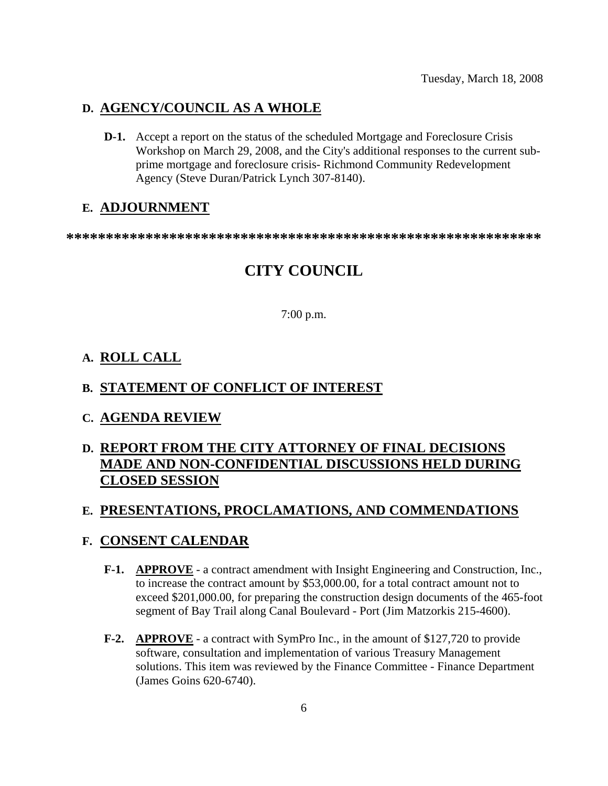## **D. AGENCY/COUNCIL AS A WHOLE**

 **D-1.** Accept a report on the status of the scheduled Mortgage and Foreclosure Crisis Workshop on March 29, 2008, and the City's additional responses to the current subprime mortgage and foreclosure crisis- Richmond Community Redevelopment Agency (Steve Duran/Patrick Lynch 307-8140).

#### **E. ADJOURNMENT**

**\*\*\*\*\*\*\*\*\*\*\*\*\*\*\*\*\*\*\*\*\*\*\*\*\*\*\*\*\*\*\*\*\*\*\*\*\*\*\*\*\*\*\*\*\*\*\*\*\*\*\*\*\*\*\*\*\*\*\*\*** 

# **CITY COUNCIL**

#### 7:00 p.m.

#### **A. ROLL CALL**

#### **B. STATEMENT OF CONFLICT OF INTEREST**

**C. AGENDA REVIEW**

# **D. REPORT FROM THE CITY ATTORNEY OF FINAL DECISIONS MADE AND NON-CONFIDENTIAL DISCUSSIONS HELD DURING CLOSED SESSION**

#### **E. PRESENTATIONS, PROCLAMATIONS, AND COMMENDATIONS**

#### **F. CONSENT CALENDAR**

- **F-1. APPROVE** a contract amendment with Insight Engineering and Construction, Inc., to increase the contract amount by \$53,000.00, for a total contract amount not to exceed \$201,000.00, for preparing the construction design documents of the 465-foot segment of Bay Trail along Canal Boulevard - Port (Jim Matzorkis 215-4600).
- **F-2. APPROVE** a contract with SymPro Inc., in the amount of \$127,720 to provide software, consultation and implementation of various Treasury Management solutions. This item was reviewed by the Finance Committee - Finance Department (James Goins 620-6740).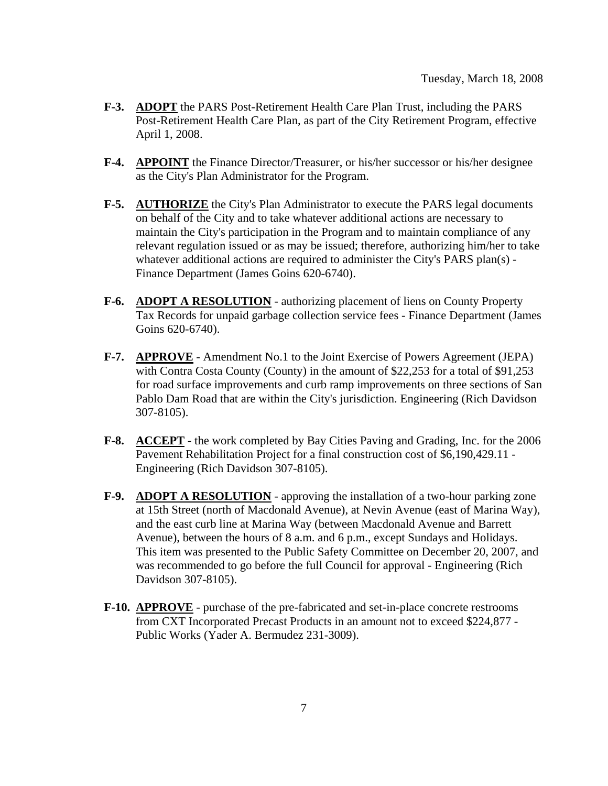- **F-3. ADOPT** the PARS Post-Retirement Health Care Plan Trust, including the PARS Post-Retirement Health Care Plan, as part of the City Retirement Program, effective April 1, 2008.
- **F-4. APPOINT** the Finance Director/Treasurer, or his/her successor or his/her designee as the City's Plan Administrator for the Program.
- **F-5. AUTHORIZE** the City's Plan Administrator to execute the PARS legal documents on behalf of the City and to take whatever additional actions are necessary to maintain the City's participation in the Program and to maintain compliance of any relevant regulation issued or as may be issued; therefore, authorizing him/her to take whatever additional actions are required to administer the City's PARS plan(s) -Finance Department (James Goins 620-6740).
- **F-6. ADOPT A RESOLUTION** authorizing placement of liens on County Property Tax Records for unpaid garbage collection service fees - Finance Department (James Goins 620-6740).
- **F-7. APPROVE** Amendment No.1 to the Joint Exercise of Powers Agreement (JEPA) with Contra Costa County (County) in the amount of \$22,253 for a total of \$91,253 for road surface improvements and curb ramp improvements on three sections of San Pablo Dam Road that are within the City's jurisdiction. Engineering (Rich Davidson 307-8105).
- **F-8. ACCEPT** the work completed by Bay Cities Paving and Grading, Inc. for the 2006 Pavement Rehabilitation Project for a final construction cost of \$6,190,429.11 - Engineering (Rich Davidson 307-8105).
- **F-9. ADOPT A RESOLUTION** approving the installation of a two-hour parking zone at 15th Street (north of Macdonald Avenue), at Nevin Avenue (east of Marina Way), and the east curb line at Marina Way (between Macdonald Avenue and Barrett Avenue), between the hours of 8 a.m. and 6 p.m., except Sundays and Holidays. This item was presented to the Public Safety Committee on December 20, 2007, and was recommended to go before the full Council for approval - Engineering (Rich Davidson 307-8105).
- **F-10. APPROVE** purchase of the pre-fabricated and set-in-place concrete restrooms from CXT Incorporated Precast Products in an amount not to exceed \$224,877 - Public Works (Yader A. Bermudez 231-3009).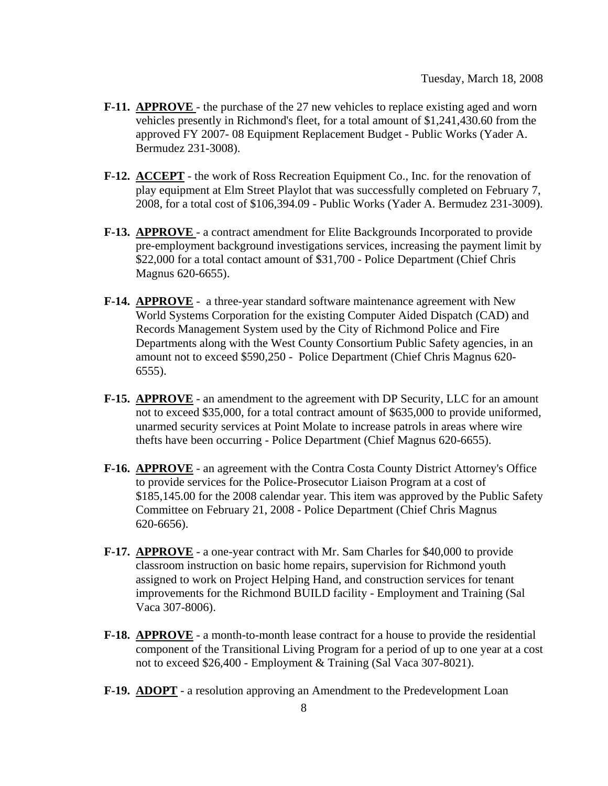- **F-11. APPROVE**  the purchase of the 27 new vehicles to replace existing aged and worn vehicles presently in Richmond's fleet, for a total amount of \$1,241,430.60 from the approved FY 2007- 08 Equipment Replacement Budget - Public Works (Yader A. Bermudez 231-3008).
- **F-12. ACCEPT** the work of Ross Recreation Equipment Co., Inc. for the renovation of play equipment at Elm Street Playlot that was successfully completed on February 7, 2008, for a total cost of \$106,394.09 - Public Works (Yader A. Bermudez 231-3009).
- **F-13. APPROVE**  a contract amendment for Elite Backgrounds Incorporated to provide pre-employment background investigations services, increasing the payment limit by \$22,000 for a total contact amount of \$31,700 - Police Department (Chief Chris Magnus 620-6655).
- **F-14. APPROVE** a three-year standard software maintenance agreement with New World Systems Corporation for the existing Computer Aided Dispatch (CAD) and Records Management System used by the City of Richmond Police and Fire Departments along with the West County Consortium Public Safety agencies, in an amount not to exceed \$590,250 - Police Department (Chief Chris Magnus 620- 6555).
- **F-15. APPROVE** an amendment to the agreement with DP Security, LLC for an amount not to exceed \$35,000, for a total contract amount of \$635,000 to provide uniformed, unarmed security services at Point Molate to increase patrols in areas where wire thefts have been occurring - Police Department (Chief Magnus 620-6655).
- **F-16. APPROVE** an agreement with the Contra Costa County District Attorney's Office to provide services for the Police-Prosecutor Liaison Program at a cost of \$185,145.00 for the 2008 calendar year. This item was approved by the Public Safety Committee on February 21, 2008 - Police Department (Chief Chris Magnus 620-6656).
- **F-17. APPROVE** a one-year contract with Mr. Sam Charles for \$40,000 to provide classroom instruction on basic home repairs, supervision for Richmond youth assigned to work on Project Helping Hand, and construction services for tenant improvements for the Richmond BUILD facility - Employment and Training (Sal Vaca 307-8006).
- **F-18. APPROVE** a month-to-month lease contract for a house to provide the residential component of the Transitional Living Program for a period of up to one year at a cost not to exceed \$26,400 - Employment & Training (Sal Vaca 307-8021).
- **F-19. ADOPT** a resolution approving an Amendment to the Predevelopment Loan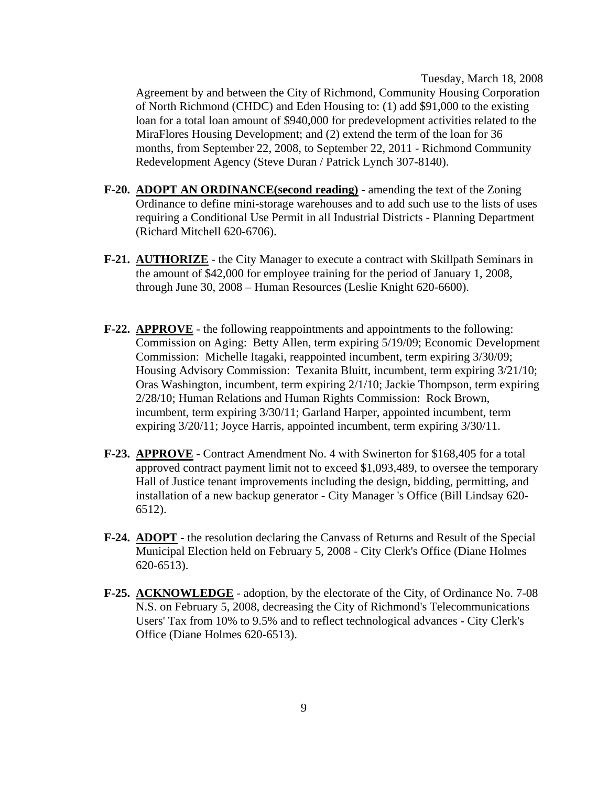Tuesday, March 18, 2008

Agreement by and between the City of Richmond, Community Housing Corporation of North Richmond (CHDC) and Eden Housing to: (1) add \$91,000 to the existing loan for a total loan amount of \$940,000 for predevelopment activities related to the MiraFlores Housing Development; and (2) extend the term of the loan for 36 months, from September 22, 2008, to September 22, 2011 - Richmond Community Redevelopment Agency (Steve Duran / Patrick Lynch 307-8140).

- **F-20. ADOPT AN ORDINANCE(second reading)** amending the text of the Zoning Ordinance to define mini-storage warehouses and to add such use to the lists of uses requiring a Conditional Use Permit in all Industrial Districts - Planning Department (Richard Mitchell 620-6706).
- **F-21. AUTHORIZE** the City Manager to execute a contract with Skillpath Seminars in the amount of \$42,000 for employee training for the period of January 1, 2008, through June 30, 2008 – Human Resources (Leslie Knight 620-6600).
- **F-22. APPROVE** the following reappointments and appointments to the following: Commission on Aging: Betty Allen, term expiring 5/19/09; Economic Development Commission: Michelle Itagaki, reappointed incumbent, term expiring 3/30/09; Housing Advisory Commission: Texanita Bluitt, incumbent, term expiring 3/21/10; Oras Washington, incumbent, term expiring 2/1/10; Jackie Thompson, term expiring 2/28/10; Human Relations and Human Rights Commission: Rock Brown, incumbent, term expiring 3/30/11; Garland Harper, appointed incumbent, term expiring 3/20/11; Joyce Harris, appointed incumbent, term expiring 3/30/11.
- **F-23. APPROVE** Contract Amendment No. 4 with Swinerton for \$168,405 for a total approved contract payment limit not to exceed \$1,093,489, to oversee the temporary Hall of Justice tenant improvements including the design, bidding, permitting, and installation of a new backup generator - City Manager 's Office (Bill Lindsay 620- 6512).
- **F-24. ADOPT** the resolution declaring the Canvass of Returns and Result of the Special Municipal Election held on February 5, 2008 - City Clerk's Office (Diane Holmes 620-6513).
- **F-25. ACKNOWLEDGE** adoption, by the electorate of the City, of Ordinance No. 7-08 N.S. on February 5, 2008, decreasing the City of Richmond's Telecommunications Users' Tax from 10% to 9.5% and to reflect technological advances - City Clerk's Office (Diane Holmes 620-6513).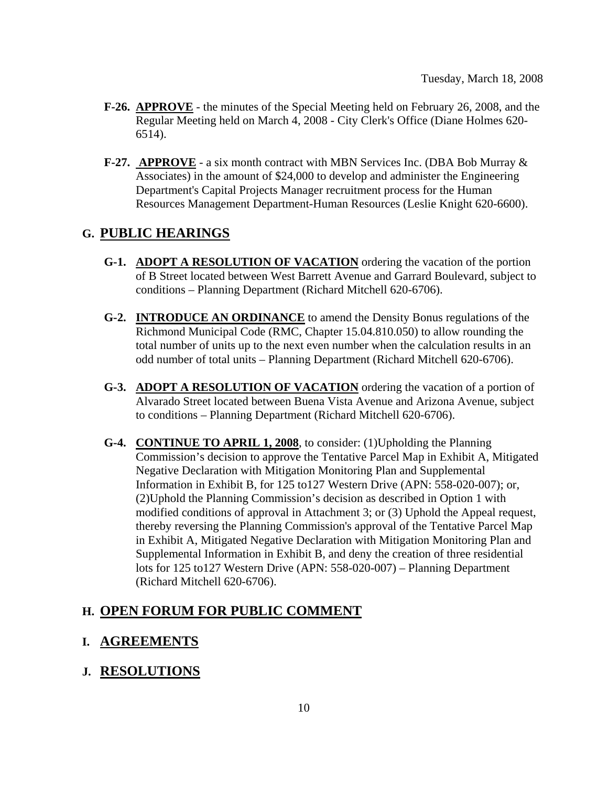- **F-26. APPROVE** the minutes of the Special Meeting held on February 26, 2008, and the Regular Meeting held on March 4, 2008 - City Clerk's Office (Diane Holmes 620- 6514).
- **F-27. APPROVE** a six month contract with MBN Services Inc. (DBA Bob Murray & Associates) in the amount of \$24,000 to develop and administer the Engineering Department's Capital Projects Manager recruitment process for the Human Resources Management Department-Human Resources (Leslie Knight 620-6600).

# **G. PUBLIC HEARINGS**

- **G-1. ADOPT A RESOLUTION OF VACATION** ordering the vacation of the portion of B Street located between West Barrett Avenue and Garrard Boulevard, subject to conditions – Planning Department (Richard Mitchell 620-6706).
- **G-2. INTRODUCE AN ORDINANCE** to amend the Density Bonus regulations of the Richmond Municipal Code (RMC, Chapter 15.04.810.050) to allow rounding the total number of units up to the next even number when the calculation results in an odd number of total units – Planning Department (Richard Mitchell 620-6706).
- **G-3. ADOPT A RESOLUTION OF VACATION** ordering the vacation of a portion of Alvarado Street located between Buena Vista Avenue and Arizona Avenue, subject to conditions – Planning Department (Richard Mitchell 620-6706).
- **G-4. CONTINUE TO APRIL 1, 2008**, to consider: (1)Upholding the Planning Commission's decision to approve the Tentative Parcel Map in Exhibit A, Mitigated Negative Declaration with Mitigation Monitoring Plan and Supplemental Information in Exhibit B, for 125 to127 Western Drive (APN: 558-020-007); or, (2)Uphold the Planning Commission's decision as described in Option 1 with modified conditions of approval in Attachment 3; or (3) Uphold the Appeal request, thereby reversing the Planning Commission's approval of the Tentative Parcel Map in Exhibit A, Mitigated Negative Declaration with Mitigation Monitoring Plan and Supplemental Information in Exhibit B, and deny the creation of three residential lots for 125 to127 Western Drive (APN: 558-020-007) – Planning Department (Richard Mitchell 620-6706).

# **H. OPEN FORUM FOR PUBLIC COMMENT**

# **I. AGREEMENTS**

# **J. RESOLUTIONS**